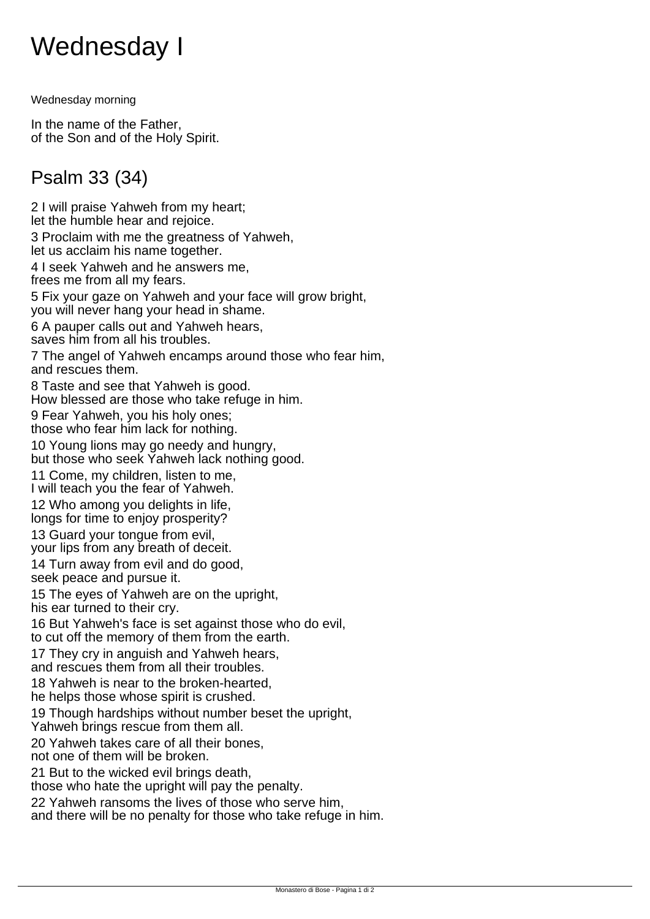## Wednesday I

Wednesday morning

In the name of the Father, of the Son and of the Holy Spirit.

## Psalm 33 (34)

2 I will praise Yahweh from my heart; let the humble hear and rejoice. 3 Proclaim with me the greatness of Yahweh, let us acclaim his name together. 4 I seek Yahweh and he answers me, frees me from all my fears. 5 Fix your gaze on Yahweh and your face will grow bright, you will never hang your head in shame. 6 A pauper calls out and Yahweh hears, saves him from all his troubles. 7 The angel of Yahweh encamps around those who fear him, and rescues them. 8 Taste and see that Yahweh is good. How blessed are those who take refuge in him. 9 Fear Yahweh, you his holy ones; those who fear him lack for nothing. 10 Young lions may go needy and hungry, but those who seek Yahweh lack nothing good. 11 Come, my children, listen to me, I will teach you the fear of Yahweh. 12 Who among you delights in life, longs for time to enjoy prosperity? 13 Guard your tongue from evil, your lips from any breath of deceit. 14 Turn away from evil and do good, seek peace and pursue it. 15 The eyes of Yahweh are on the upright, his ear turned to their cry. 16 But Yahweh's face is set against those who do evil, to cut off the memory of them from the earth. 17 They cry in anguish and Yahweh hears, and rescues them from all their troubles. 18 Yahweh is near to the broken-hearted, he helps those whose spirit is crushed. 19 Though hardships without number beset the upright, Yahweh brings rescue from them all. 20 Yahweh takes care of all their bones, not one of them will be broken. 21 But to the wicked evil brings death, those who hate the upright will pay the penalty. 22 Yahweh ransoms the lives of those who serve him, and there will be no penalty for those who take refuge in him.